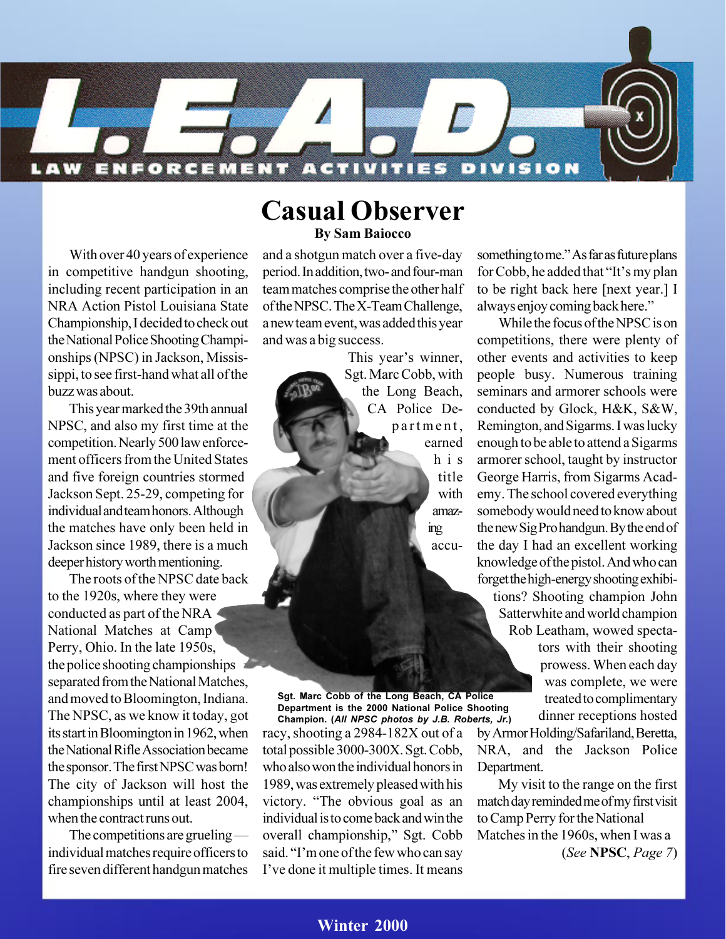

### **Casual Observer By Sam Baiocco**

With over 40 years of experience in competitive handgun shooting, including recent participation in an NRA Action Pistol Louisiana State Championship, I decided to check out the National Police Shooting Championships (NPSC) in Jackson, Mississippi, to see first-hand what all of the buzz was about.

This year marked the 39th annual NPSC, and also my first time at the competition. Nearly 500 law enforcement officers from the United States and five foreign countries stormed Jackson Sept. 25-29, competing for individual and team honors. Although the matches have only been held in Jackson since 1989, there is a much deeper history worth mentioning.

The roots of the NPSC date back to the 1920s, where they were conducted as part of the NRA National Matches at Camp Perry, Ohio. In the late 1950s, the police shooting championships separated from the National Matches, and moved to Bloomington, Indiana. The NPSC, as we know it today, got its start in Bloomington in 1962, when the National Rifle Association became the sponsor. The first NPSC was born! The city of Jackson will host the championships until at least 2004, when the contract runs out.

The competitions are grueling individual matches require officers to fire seven different handgun matches

and a shotgun match over a five-day period. In addition, two- and four-man team matches comprise the other half of the NPSC. The X-Team Challenge, a new team event, was added this year and was a big success.

> This year's winner, Sgt. Marc Cobb, with the Long Beach, CA Police Department, earned his title with amazing accu-

racy, shooting a 2984-182X out of a total possible 3000-300X. Sgt. Cobb, who also won the individual honors in 1989, was extremely pleased with his victory. "The obvious goal as an individual is to come back and win the overall championship," Sgt. Cobb said. "I'm one of the few who can say Ive done it multiple times. It means **Sgt. Marc Cobb of the Long Beach, CA Police Department is the 2000 National Police Shooting Champion. (***All NPSC photos by J.B. Roberts, Jr.***)**

something to me." As far as future plans for Cobb, he added that "It's my plan to be right back here [next year.] I always enjoy coming back here.

While the focus of the NPSC is on competitions, there were plenty of other events and activities to keep people busy. Numerous training seminars and armorer schools were conducted by Glock, H&K, S&W, Remington, and Sigarms. I was lucky enough to be able to attend a Sigarms armorer school, taught by instructor George Harris, from Sigarms Academy. The school covered everything somebody would need to know about the new Sig Pro handgun. By the end of the day I had an excellent working knowledge of the pistol. And who can forget the high-energy shooting exhibitions? Shooting champion John Satterwhite and world champion Rob Leatham, wowed spectators with their shooting prowess. When each day was complete, we were treated to complimentary dinner receptions hosted

by Armor Holding/Safariland, Beretta, NRA, and the Jackson Police Department.

My visit to the range on the first match day reminded me of my first visit to Camp Perry for the National Matches in the 1960s, when I was a (*See* **NPSC**, *Page 7*)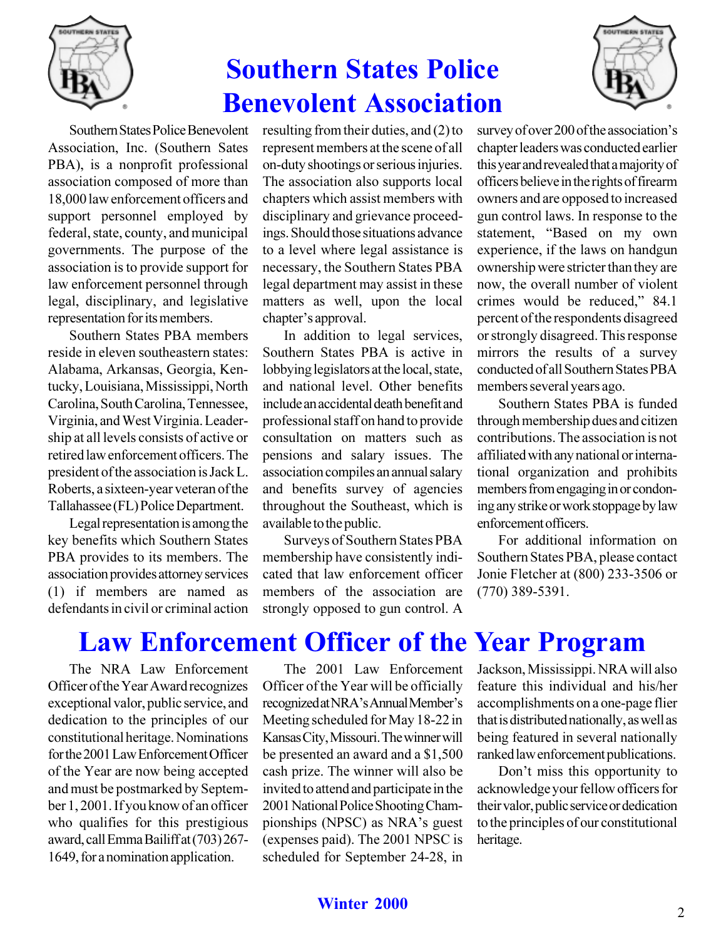

## **Southern States Police Benevolent Association**



Southern States Police Benevolent Association, Inc. (Southern Sates PBA), is a nonprofit professional association composed of more than 18,000 law enforcement officers and support personnel employed by federal, state, county, and municipal governments. The purpose of the association is to provide support for law enforcement personnel through legal, disciplinary, and legislative representation for its members.

Southern States PBA members reside in eleven southeastern states: Alabama, Arkansas, Georgia, Kentucky, Louisiana, Mississippi, North Carolina, South Carolina, Tennessee, Virginia, and West Virginia. Leadership at all levels consists of active or retired law enforcement officers. The president of the association is Jack L. Roberts, a sixteen-year veteran of the Tallahassee (FL) Police Department.

Legal representation is among the key benefits which Southern States PBA provides to its members. The association provides attorney services (1) if members are named as defendants in civil or criminal action resulting from their duties, and (2) to represent members at the scene of all on-duty shootings or serious injuries. The association also supports local chapters which assist members with disciplinary and grievance proceedings. Should those situations advance to a level where legal assistance is necessary, the Southern States PBA legal department may assist in these matters as well, upon the local chapter's approval.

In addition to legal services, Southern States PBA is active in lobbying legislators at the local, state, and national level. Other benefits include an accidental death benefit and professional staff on hand to provide consultation on matters such as pensions and salary issues. The association compiles an annual salary and benefits survey of agencies throughout the Southeast, which is available to the public.

Surveys of Southern States PBA membership have consistently indicated that law enforcement officer members of the association are strongly opposed to gun control. A

survey of over 200 of the association's chapter leaders was conducted earlier this year and revealed that a majority of officers believe in the rights of firearm owners and are opposed to increased gun control laws. In response to the statement, "Based on my own experience, if the laws on handgun ownership were stricter than they are now, the overall number of violent crimes would be reduced." 84.1 percent of the respondents disagreed or strongly disagreed. This response mirrors the results of a survey conducted of all Southern States PBA members several years ago.

Southern States PBA is funded through membership dues and citizen contributions. The association is not affiliated with any national or international organization and prohibits members from engaging in or condoning any strike or work stoppage by law enforcement officers.

For additional information on Southern States PBA, please contact Jonie Fletcher at (800) 233-3506 or (770) 389-5391.

### **Law Enforcement Officer of the Year Program**

The NRA Law Enforcement Officer of the Year Award recognizes exceptional valor, public service, and dedication to the principles of our constitutional heritage. Nominations for the 2001 Law Enforcement Officer of the Year are now being accepted and must be postmarked by September 1, 2001. If you know of an officer who qualifies for this prestigious award, call Emma Bailiff at (703) 267- 1649, for a nomination application.

The 2001 Law Enforcement Officer of the Year will be officially recognized at NRA's Annual Member's Meeting scheduled for May 18-22 in Kansas City, Missouri. The winner will be presented an award and a \$1,500 cash prize. The winner will also be invited to attend and participate in the 2001 National Police Shooting Championships (NPSC) as NRA's guest (expenses paid). The 2001 NPSC is scheduled for September 24-28, in Jackson, Mississippi. NRA will also feature this individual and his/her accomplishments on a one-page flier that is distributed nationally, as well as being featured in several nationally ranked law enforcement publications.

Don't miss this opportunity to acknowledge your fellow officers for their valor, public service or dedication to the principles of our constitutional heritage.

### **Winter 2000** 2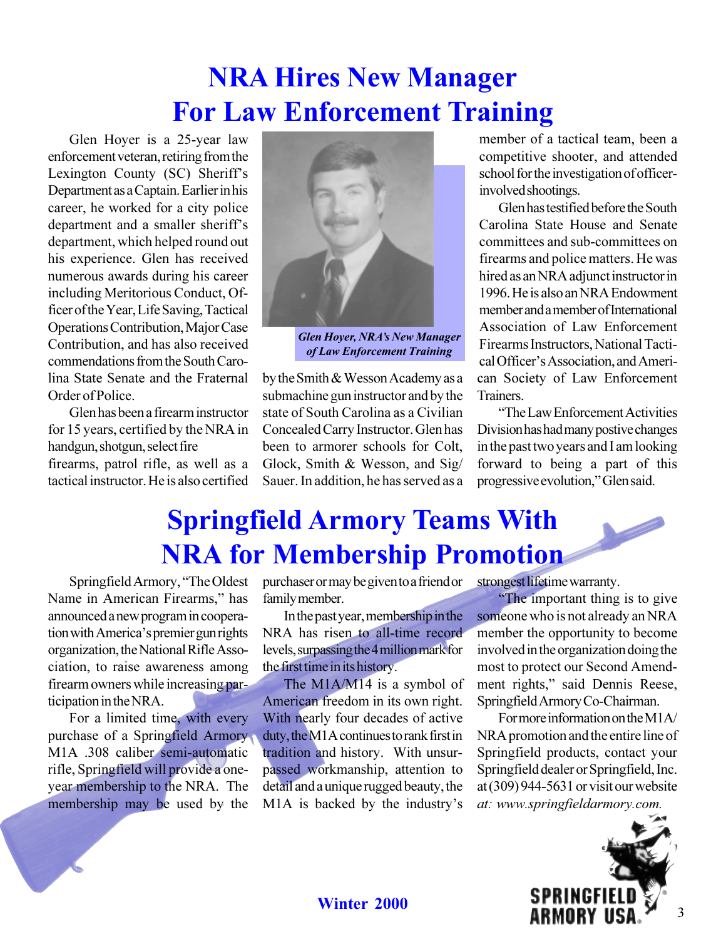## **NRA Hires New Manager For Law Enforcement Training**

Glen Hoyer is a 25-year law enforcement veteran, retiring from the Lexington County (SC) Sheriff's Department as a Captain. Earlier in his career, he worked for a city police department and a smaller sheriff's department, which helped round out his experience. Glen has received numerous awards during his career including Meritorious Conduct, Officer of the Year, Life Saving, Tactical Operations Contribution, Major Case Contribution, and has also received commendations from the South Carolina State Senate and the Fraternal Order of Police.

Glen has been a firearm instructor for 15 years, certified by the NRA in handgun, shotgun, select fire firearms, patrol rifle, as well as a tactical instructor. He is also certified



*Glen Hoyer, NRA's New Manager of Law Enforcement Training*

by the Smith & Wesson Academy as a submachine gun instructor and by the state of South Carolina as a Civilian Concealed Carry Instructor. Glen has been to armorer schools for Colt, Glock, Smith & Wesson, and Sig/ Sauer. In addition, he has served as a member of a tactical team, been a competitive shooter, and attended school for the investigation of officerinvolved shootings.

Glen has testified before the South Carolina State House and Senate committees and sub-committees on firearms and police matters. He was hired as an NRA adjunct instructor in 1996. He is also an NRA Endowment member and a member of International Association of Law Enforcement Firearms Instructors, National Tactical Officer's Association, and American Society of Law Enforcement Trainers.

The Law Enforcement Activities Division has had many postive changes in the past two years and I am looking forward to being a part of this progressive evolution," Glen said.

### **Springfield Armory Teams With NRA for Membership Promotion**

Springfield Armory, "The Oldest Name in American Firearms," has announced a new program in cooperation with America's premier gun rights organization, the National Rifle Association, to raise awareness among firearm owners while increasing participation in the NRA.

For a limited time, with every purchase of a Springfield Armory M1A .308 caliber semi-automatic rifle, Springfield will provide a oneyear membership to the NRA. The membership may be used by the purchaser or may be given to a friend or family member.

In the past year, membership in the NRA has risen to all-time record levels, surpassing the 4 million mark for the first time in its history.

The M1A/M14 is a symbol of American freedom in its own right. With nearly four decades of active duty, the M1A continues to rank first in tradition and history. With unsurpassed workmanship, attention to detail and a unique rugged beauty, the M1A is backed by the industry's

strongest lifetime warranty.

The important thing is to give someone who is not already an NRA member the opportunity to become involved in the organization doing the most to protect our Second Amendment rights," said Dennis Reese, Springfield Armory Co-Chairman.

For more information on the M1A/ NRA promotion and the entire line of Springfield products, contact your Springfield dealer or Springfield, Inc. at (309) 944-5631 or visit our website *at: www.springfieldarmory.com.*

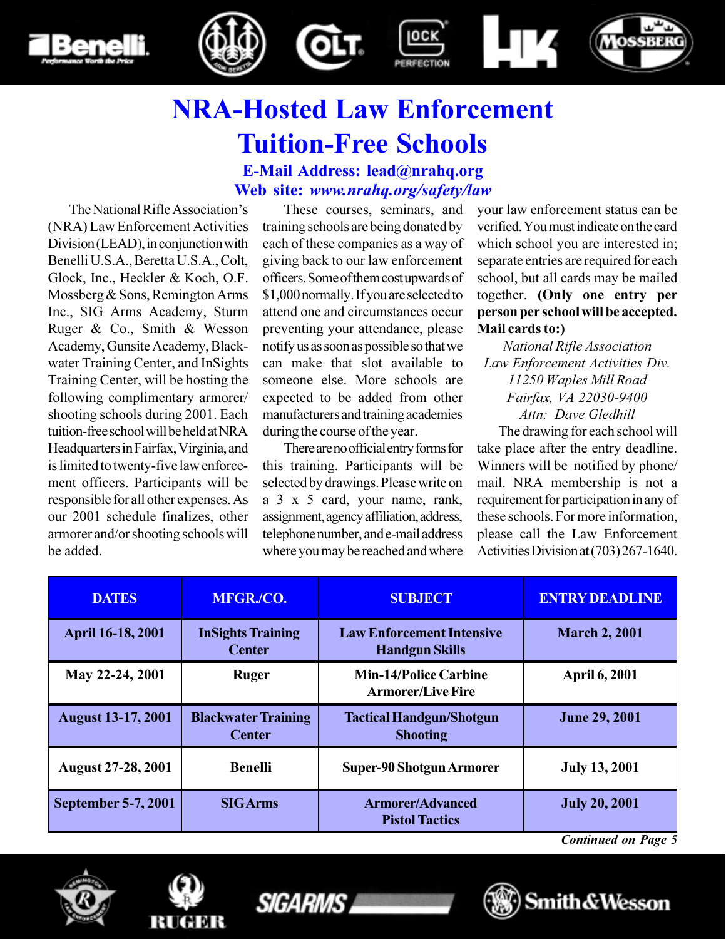







# **NRA-Hosted Law Enforcement Tuition-Free Schools**

**E-Mail Address: lead@nrahq.org Web site:** *www.nrahq.org/safety/law*

The National Rifle Association's (NRA) Law Enforcement Activities Division (LEAD), in conjunction with Benelli U.S.A., Beretta U.S.A., Colt, Glock, Inc., Heckler & Koch, O.F. Mossberg & Sons, Remington Arms Inc., SIG Arms Academy, Sturm Ruger & Co., Smith & Wesson Academy, Gunsite Academy, Blackwater Training Center, and InSights Training Center, will be hosting the following complimentary armorer/ shooting schools during 2001. Each tuition-free school will be held at NRA Headquarters in Fairfax, Virginia, and is limited to twenty-five law enforcement officers. Participants will be responsible for all other expenses. As our 2001 schedule finalizes, other armorer and/or shooting schools will be added.

These courses, seminars, and training schools are being donated by each of these companies as a way of giving back to our law enforcement officers. Some of them cost upwards of \$1,000 normally. If you are selected to attend one and circumstances occur preventing your attendance, please notify us as soon as possible so that we can make that slot available to someone else. More schools are expected to be added from other manufacturers and training academies during the course of the year.

There are no official entry forms for this training. Participants will be selected by drawings. Please write on a 3 x 5 card, your name, rank, assignment, agency affiliation, address, telephone number, and e-mail address where you may be reached and where your law enforcement status can be verified. You must indicate on the card which school you are interested in; separate entries are required for each school, but all cards may be mailed together. **(Only one entry per person per school will be accepted. Mail cards to:)**

*National Rifle Association Law Enforcement Activities Div. 11250 Waples Mill Road Fairfax, VA 22030-9400 Attn: Dave Gledhill*

The drawing for each school will take place after the entry deadline. Winners will be notified by phone/ mail. NRA membership is not a requirement for participation in any of these schools. For more information, please call the Law Enforcement Activities Division at (703) 267-1640.

| <b>DATES</b>              | MFGR./CO.                                   | <b>SUBJECT</b>                                            | <b>ENTRY DEADLINE</b> |
|---------------------------|---------------------------------------------|-----------------------------------------------------------|-----------------------|
| April 16-18, 2001         | <b>InSights Training</b><br><b>Center</b>   | <b>Law Enforcement Intensive</b><br><b>Handgun Skills</b> | <b>March 2, 2001</b>  |
| May 22-24, 2001           | <b>Ruger</b>                                | <b>Min-14/Police Carbine</b><br><b>Armorer/Live Fire</b>  | <b>April 6, 2001</b>  |
|                           |                                             |                                                           |                       |
| <b>August 13-17, 2001</b> | <b>Blackwater Training</b><br><b>Center</b> | <b>Tactical Handgun/Shotgun</b><br><b>Shooting</b>        | <b>June 29, 2001</b>  |
| <b>August 27-28, 2001</b> | <b>Benelli</b>                              | <b>Super-90 Shotgun Armorer</b>                           | <b>July 13, 2001</b>  |

*Continued on Page 5*







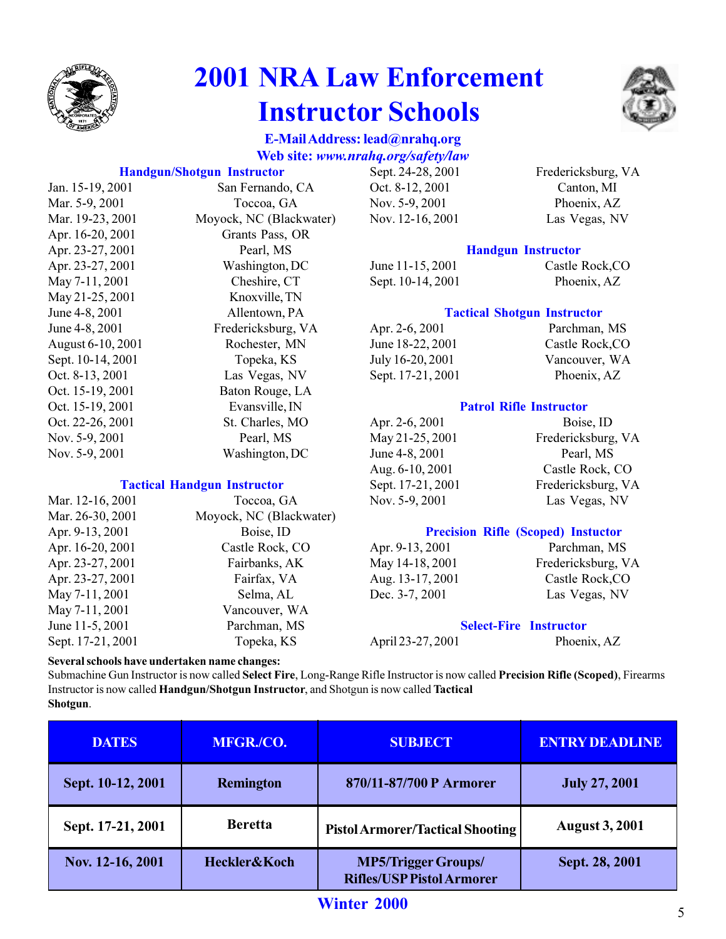

## **2001 NRA Law Enforcement Instructor Schools**



#### **E-Mail Address: lead@nrahq.org Web site:** *www.nrahq.org/safety/law*

#### **Handgun/Shotgun Instructor**

| Jan. 15-19, 2001  | San Fernando, CA        |
|-------------------|-------------------------|
| Mar. 5-9, 2001    | Toccoa, GA              |
| Mar. 19-23, 2001  | Moyock, NC (Blackwater) |
| Apr. 16-20, 2001  | Grants Pass, OR         |
| Apr. 23-27, 2001  | Pearl, MS               |
| Apr. 23-27, 2001  | Washington, DC          |
| May 7-11, 2001    | Cheshire, CT            |
| May 21-25, 2001   | Knoxville, TN           |
| June 4-8, 2001    | Allentown, PA           |
| June 4-8, 2001    | Fredericksburg, VA      |
| August 6-10, 2001 | Rochester, MN           |
| Sept. 10-14, 2001 | Topeka, KS              |
| Oct. 8-13, 2001   | Las Vegas, NV           |
| Oct. 15-19, 2001  | Baton Rouge, LA         |
| Oct. 15-19, 2001  | Evansville, IN          |
| Oct. 22-26, 2001  | St. Charles, MO         |
| Nov. 5-9, 2001    | Pearl, MS               |
| Nov. 5-9, 2001    | Washington, DC          |
|                   |                         |

#### **Tactical Handgun Instructor**

| Mar. 12-16, 2001  | Toccoa, GA              |
|-------------------|-------------------------|
| Mar. 26-30, 2001  | Moyock, NC (Blackwater) |
| Apr. 9-13, 2001   | Boise, ID               |
| Apr. 16-20, 2001  | Castle Rock, CO         |
| Apr. 23-27, 2001  | Fairbanks, AK           |
| Apr. 23-27, 2001  | Fairfax, VA             |
| May 7-11, 2001    | Selma, AL               |
| May 7-11, 2001    | Vancouver, WA           |
| June 11-5, 2001   | Parchman, MS            |
| Sept. 17-21, 2001 | Topeka, KS              |

Oct. 8-12, 2001 Canton, MI Nov. 5-9, 2001 Phoenix, AZ

Sept. 24-28, 2001 Fredericksburg, VA Nov. 12-16, 2001 Las Vegas, NV

#### **Handgun Instructor**

June 11-15, 2001 Castle Rock,CO Sept. 10-14, 2001 Phoenix, AZ

#### **Tactical Shotgun Instructor**

| Apr. 2-6, 2001    | Parchman, MS    |
|-------------------|-----------------|
| June 18-22, 2001  | Castle Rock, CO |
| July 16-20, 2001  | Vancouver, WA   |
| Sept. 17-21, 2001 | Phoenix, AZ     |

#### **Patrol Rifle Instructor**

| Apr. 2-6, 2001    | Boise, ID          |
|-------------------|--------------------|
| May 21-25, 2001   | Fredericksburg, VA |
| June 4-8, 2001    | Pearl, MS          |
| Aug. 6-10, 2001   | Castle Rock, CO    |
| Sept. 17-21, 2001 | Fredericksburg, VA |
| Nov. 5-9, 2001    | Las Vegas, NV      |
|                   |                    |

#### **Precision Rifle (Scoped) Instuctor**

Aug. 13-17, 2001 Castle Rock,CO Dec. 3-7, 2001 Las Vegas, NV

Apr. 9-13, 2001 Parchman, MS May 14-18, 2001 Fredericksburg, VA

#### **Select-Fire Instructor**

April 23-27, 2001 Phoenix, AZ

#### **Several schools have undertaken name changes:**

Submachine Gun Instructor is now called **Select Fire**, Long-Range Rifle Instructor is now called **Precision Rifle (Scoped)**, Firearms Instructor is now called **Handgun/Shotgun Instructor**, and Shotgun is now called **Tactical Shotgun**.

| <b>DATES</b>      | MFGR./CO.        | <b>SUBJECT</b>                                                 | <b>ENTRY DEADLINE</b> |  |
|-------------------|------------------|----------------------------------------------------------------|-----------------------|--|
| Sept. 10-12, 2001 | <b>Remington</b> | 870/11-87/700 P Armorer                                        | <b>July 27, 2001</b>  |  |
| Sept. 17-21, 2001 | <b>Beretta</b>   | <b>Pistol Armorer/Tactical Shooting</b>                        | <b>August 3, 2001</b> |  |
| Nov. 12-16, 2001  | Heckler&Koch     | <b>MP5/Trigger Groups/</b><br><b>Rifles/USP Pistol Armorer</b> | Sept. 28, 2001        |  |

### **Winter 2000** 5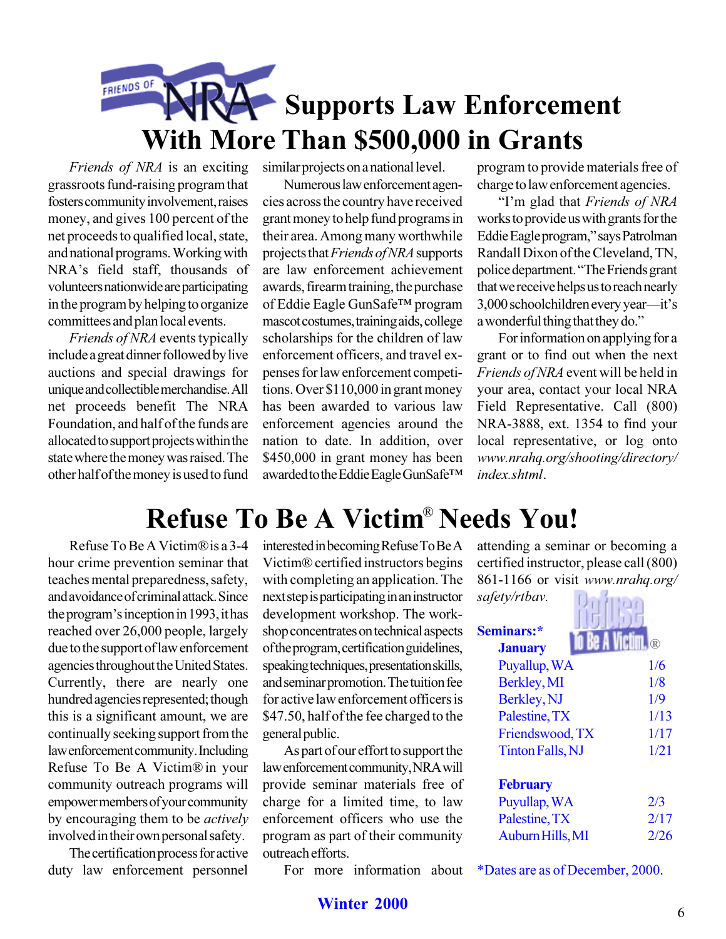### **FRIENDS OF Supports Law Enforcement With More Than \$500,000 in Grants**

*Friends of NRA* is an exciting grassroots fund-raising program that fosters community involvement, raises money, and gives 100 percent of the net proceeds to qualified local, state, and national programs. Working with NRA's field staff, thousands of volunteers nationwide are participating in the program by helping to organize committees and plan local events.

*Friends of NRA* events typically include a great dinner followed by live auctions and special drawings for unique and collectible merchandise. All net proceeds benefit The NRA Foundation, and half of the funds are allocated to support projects within the state where the money was raised. The other half of the money is used to fund similar projects on a national level.

Numerous law enforcement agencies across the country have received grant money to help fund programs in their area. Among many worthwhile projects that *Friends of NRA* supports are law enforcement achievement awards, firearm training, the purchase of Eddie Eagle GunSafe™ program mascot costumes, training aids, college scholarships for the children of law enforcement officers, and travel expenses for law enforcement competitions. Over \$110,000 in grant money has been awarded to various law enforcement agencies around the nation to date. In addition, over \$450,000 in grant money has been awarded to the Eddie Eagle GunSafe program to provide materials free of charge to law enforcement agencies.

Im glad that *Friends of NRA* works to provide us with grants for the Eddie Eagle program," says Patrolman Randall Dixon of the Cleveland, TN, police department. "The Friends grant that we receive helps us to reach nearly  $3,000$  schoolchildren every year---it's a wonderful thing that they do.

For information on applying for a grant or to find out when the next *Friends of NRA* event will be held in your area, contact your local NRA Field Representative. Call (800) NRA-3888, ext. 1354 to find your local representative, or log onto *www.nrahq.org/shooting/directory/ index.shtml*.

## **Refuse To Be A Victim<sup>®</sup> Needs You!**

Refuse To Be A Victim®is a 3-4 hour crime prevention seminar that teaches mental preparedness, safety, and avoidance of criminal attack. Since the program's inception in 1993, it has reached over 26,000 people, largely due to the support of law enforcement agencies throughout the United States. Currently, there are nearly one hundred agencies represented; though this is a significant amount, we are continually seeking support from the law enforcement community. Including Refuse To Be A Victim® in your community outreach programs will empower members of your community by encouraging them to be *actively* involved in their own personal safety.

The certification process for active duty law enforcement personnel

interested in becoming Refuse To Be A Victim® certified instructors begins with completing an application. The next step is participating in an instructor development workshop. The workshop concentrates on technical aspects of the program, certification guidelines, speaking techniques, presentation skills, and seminar promotion. The tuition fee for active law enforcement officers is \$47.50, half of the fee charged to the general public.

As part of our effort to support the law enforcement community, NRA will provide seminar materials free of charge for a limited time, to law enforcement officers who use the program as part of their community outreach efforts.

For more information about

attending a seminar or becoming a certified instructor, please call (800) 861-1166 or visit *www.nrahq.org/ safety/rtbav.*

| Seminars:*       |  |                        |
|------------------|--|------------------------|
| <b>January</b>   |  | $\widehat{\mathbf{R}}$ |
| Puyallup, WA     |  | 1/6                    |
| Berkley, MI      |  | 1/8                    |
| Berkley, NJ      |  | 1/9                    |
| Palestine, TX    |  | 1/13                   |
| Friendswood, TX  |  | 1/17                   |
| Tinton Falls, NJ |  | 1/21                   |
| <b>February</b>  |  |                        |
| Puyullap, WA     |  | 2/3                    |
| Palestine, TX    |  | 2/17                   |
| Auburn Hills, MI |  | 2/26                   |

\*Dates are as of December, 2000.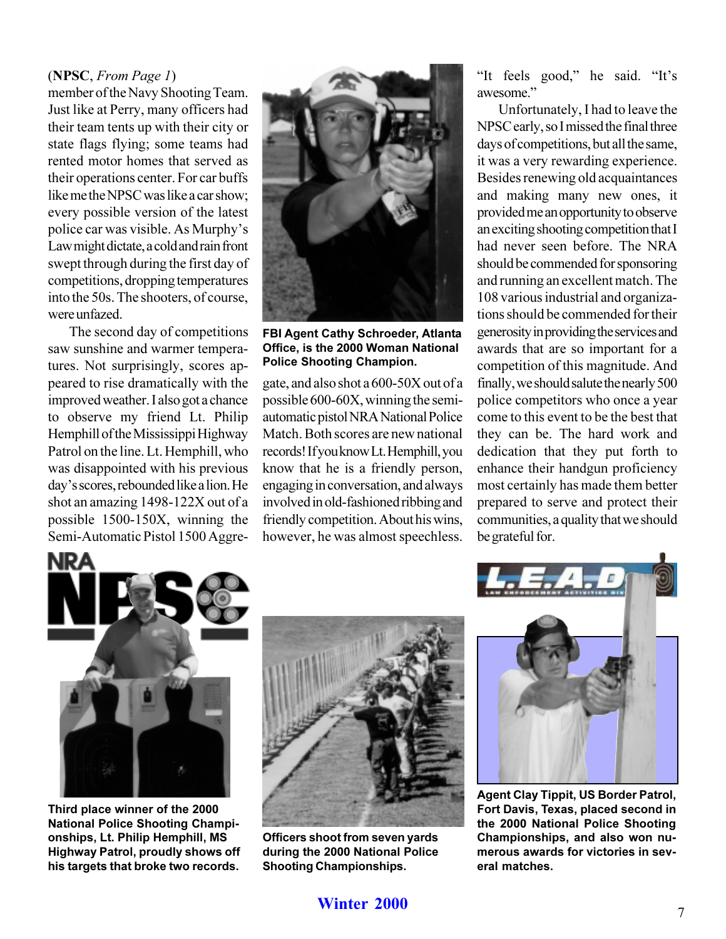#### (**NPSC**, *From Page 1*)

member of the Navy Shooting Team. Just like at Perry, many officers had their team tents up with their city or state flags flying; some teams had rented motor homes that served as their operations center. For car buffs like me the NPSC was like a car show; every possible version of the latest police car was visible. As Murphy's Law might dictate, a cold and rain front swept through during the first day of competitions, dropping temperatures into the 50s. The shooters, of course, were unfazed.

The second day of competitions saw sunshine and warmer temperatures. Not surprisingly, scores appeared to rise dramatically with the improved weather. I also got a chance to observe my friend Lt. Philip Hemphill of the Mississippi Highway Patrol on the line. Lt. Hemphill, who was disappointed with his previous day's scores, rebounded like a lion. He shot an amazing 1498-122X out of a possible 1500-150X, winning the Semi-Automatic Pistol 1500 Aggre-



**FBI Agent Cathy Schroeder, Atlanta Office, is the 2000 Woman National Police Shooting Champion.**

gate, and also shot a 600-50X out of a possible 600-60X, winning the semiautomatic pistol NRA National Police Match. Both scores are new national records! If you know Lt. Hemphill, you know that he is a friendly person, engaging in conversation, and always involved in old-fashioned ribbing and friendly competition. About his wins, however, he was almost speechless. "It feels good," he said. "It's awesome.

Unfortunately, I had to leave the NPSC early, so I missed the final three days of competitions, but all the same, it was a very rewarding experience. Besides renewing old acquaintances and making many new ones, it provided me an opportunity to observe an exciting shooting competition that I had never seen before. The NRA should be commended for sponsoring and running an excellent match. The 108 various industrial and organizations should be commended for their generosity in providing the services and awards that are so important for a competition of this magnitude. And finally, we should salute the nearly 500 police competitors who once a year come to this event to be the best that they can be. The hard work and dedication that they put forth to enhance their handgun proficiency most certainly has made them better prepared to serve and protect their communities, a quality that we should be grateful for.



**Third place winner of the 2000 National Police Shooting Championships, Lt. Philip Hemphill, MS Highway Patrol, proudly shows off his targets that broke two records.**



**Officers shoot from seven yards during the 2000 National Police Shooting Championships.**



**Agent Clay Tippit, US Border Patrol, Fort Davis, Texas, placed second in the 2000 National Police Shooting Championships, and also won numerous awards for victories in several matches.**